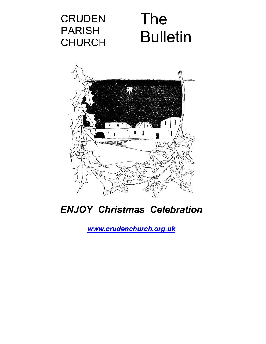## **CRUDEN** PARISH CHURCH

# The **Bulletin**



## *ENJOY Christmas Celebration*

*[www.crudenchurch.org.uk](http://www.crudenchurch.org.uk/)*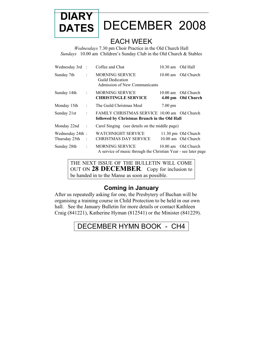

## **DATES** DECEMBER2008

### EACH WEEK

*Wednesdays* 7.30 pm Choir Practice in the Old Church Hall *Sundays* 10.00 am Children's Sunday Club in the Old Church & Stables

| Wednesday 3rd                     | $\overline{\phantom{a}}$ | Coffee and Chat                                                                              | 10.30 am Old Hall |                                            |
|-----------------------------------|--------------------------|----------------------------------------------------------------------------------------------|-------------------|--------------------------------------------|
| Sunday 7th                        |                          | <b>MORNING SERVICE</b><br>Guild Dedication<br>Admission of New Communicants                  |                   | 10.00 am Old Church                        |
| Sunday 14th                       | $\cdot$                  | <b>MORNING SERVICE</b><br><b>CHRISTINGLE SERVICE</b>                                         |                   | 10.00 am Old Church<br>4.00 pm Old Church  |
| Monday 15th                       | ÷                        | The Guild Christmas Meal                                                                     | $7.00 \text{ pm}$ |                                            |
| Sunday 21st                       | $\ddot{\phantom{0}}$     | FAMILY CHRISTMAS SERVICE 10.00 am Old Church<br>followed by Christmas Brunch in the Old Hall |                   |                                            |
| Monday 22nd                       | ÷                        | Carol Singing (see details on the middle page)                                               |                   |                                            |
| Wednesday 24th :<br>Thursday 25th |                          | <b>WATCHNIGHT SERVICE</b><br><b>CHRISTMAS DAY SERVICE</b>                                    |                   | 11.30 pm Old Church<br>10.00 am Old Church |
| Sunday 28th                       | ÷                        | <b>MORNING SERVICE</b><br>A service of music through the Christian Year - see later page     |                   | 10.00 am Old Church                        |

THE NEXT ISSUE OF THE BULLETIN WILL COME OUT ON **28 DECEMBER**. Copy for inclusion to be handed in to the Manse as soon as possible.

### **Coming in January**

After us repeatedly asking for one, the Presbytery of Buchan will be organising a training course in Child Protection to be held in our own hall. See the January Bulletin for more details or contact Kathleen Craig (841221), Katherine Hyman (812541) or the Minister (841229).

### DECEMBER HYMN BOOK - CH4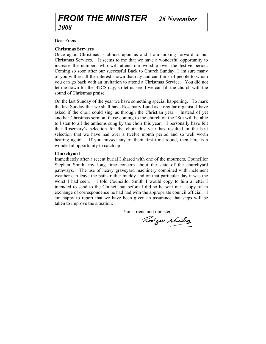### *FROM THE MINISTER 26 November 2008*

Dear Friends

#### **Christmas Services**

Once again Christmas is almost upon us and I am looking forward to our Christmas Services. It seems to me that we have a wonderful opportunity to increase the numbers who will attend our worship over the festive period. Coming so soon after our successful Back to Church Sunday, I am sure many of you will recall the interest shown that day and can think of people to whom you can go back with an invitation to attend a Christmas Service. You did not let me down for the B2CS day, so let us see if we can fill the church with the sound of Christmas praise.

On the last Sunday of the year we have something special happening. To mark the last Sunday that we shall have Rosemary Lund as a regular organist, I have asked if the choir could sing us through the Christian year. Instead of yet another Christmas sermon, those coming to the church on the 28th will be able to listen to all the anthems sung by the choir this year. I personally have felt that Rosemary's selection for the choir this year has resulted in the best selection that we have had over a twelve month period and so well worth hearing again. If you missed any of them first time round, then here is a wonderful opportunity to catch up

#### **Churchyard**

Immediately after a recent burial I shared with one of the mourners, Councillor Stephen Smith, my long time concern about the state of the churchyard pathways. The use of heavy graveyard machinery combined with inclement weather can leave the paths rather muddy and on that particular day it was the worst I had seen. I told Councillor Smith I would copy to him a letter I intended to send to the Council but before I did so he sent me a copy of an exchange of correspondence he had had with the appropriate council official. I am happy to report that we have been given an assurance that steps will be taken to improve the situation.

Your friend and minister

Rodges Neils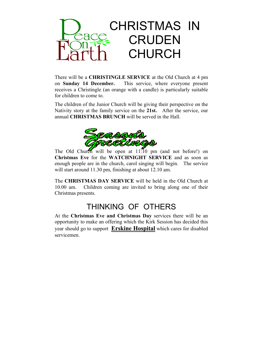

There will be a **CHRISTINGLE SERVICE** at the Old Church at 4 pm on **Sunday 14 December.** This service, where everyone present receives a Christingle (an orange with a candle) is particularly suitable for children to come to.

The children of the Junior Church will be giving their perspective on the Nativity story at the family service on the **21st.** After the service, our annual **CHRISTMAS BRUNCH** will be served in the Hall.



The Old Church will be open at 11:10 pm (and not before!) on **Christmas Eve** for the **WATCHNIGHT SERVICE** and as soon as enough people are in the church, carol singing will begin. The service will start around 11.30 pm, finishing at about 12.10 am.

The **CHRISTMAS DAY SERVICE** will be held in the Old Church at 10.00 am. Children coming are invited to bring along one of their Christmas presents.

### THINKING OF OTHERS

At the **Christmas Eve and Christmas Day** services there will be an opportunity to make an offering which the Kirk Session has decided this year should go to support **Erskine Hospital** which cares for disabled servicemen.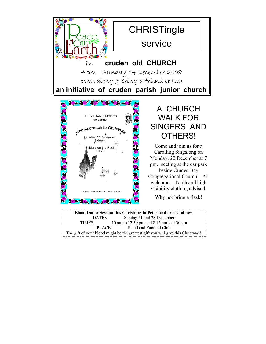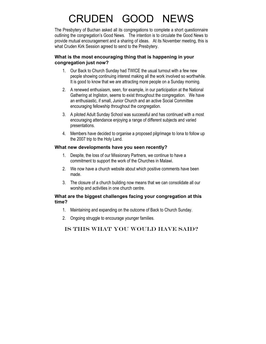## CRUDEN GOOD NEWS

The Presbytery of Buchan asked all its congregations to complete a short questionnaire outlining the congregation's Good News. The intention is to circulate the Good News to provide mutual encouragement and a sharing of ideas. At its November meeting, this is what Cruden Kirk Session agreed to send to the Presbytery.

#### **What is the most encouraging thing that is happening in your congregation just now?**

- 1. Our Back to Church Sunday had TWICE the usual turnout with a few new people showing continuing interest making all the work involved so worthwhile. It is good to know that we are attracting more people on a Sunday morning.
- 2. A renewed enthusiasm, seen, for example, in our participation at the National Gathering at Ingliston, seems to exist throughout the congregation. We have an enthusiastic, if small, Junior Church and an active Social Committee encouraging fellowship throughout the congregation.
- 3. A piloted Adult Sunday School was successful and has continued with a most encouraging attendance enjoying a range of different subjects and varied presentations.
- 4. Members have decided to organise a proposed pilgrimage to Iona to follow up the 2007 trip to the Holy Land.

#### **What new developments have you seen recently?**

- 1. Despite, the loss of our Missionary Partners, we continue to have a commitment to support the work of the Churches in Malawi.
- 2. We now have a church website about which positive comments have been made.
- 3. The closure of a church building now means that we can consolidate all our worship and activities in one church centre.

#### **What are the biggest challenges facing your congregation at this time?**

- 1. Maintaining and expanding on the outcome of Back to Church Sunday.
- 2. Ongoing struggle to encourage younger families.

#### Is this what you would have said?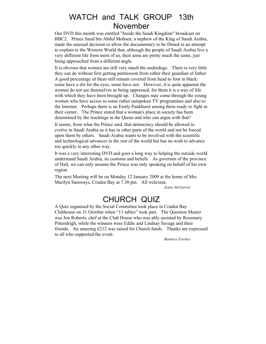### WATCH and TALK GROUP 13th November

Our DVD this month was entitled "Inside the Saudi Kingdom" broadcast on BBC2. Prince Saud bin Abdul Mohsen, a nephew of the King of Saudi Arabia, made the unusual decision to allow the documentary to be filmed in an attempt to explain to the Western World that, although the people of Saudi Arabia live a very different life from most of us, their aims are pretty much the same, just being approached from a different angle.

It is obvious that women are still very much the underdogs. There is very little they can do without first getting permission from either their guardian of father. A good percentage of them still remain covered from head to foot in black: some have a slit for the eyes, some have not. However, it is quite apparent the women do not see themselves as being oppressed, for them it is a way of life with which they have been brought up. Changes may come through the young women who have access to some rather outspoken TV programmes and also to the Internet. Perhaps there is an Emily Pankhurst among them ready to fight in their corner. The Prince stated that a woman's place in society has been determined by the teachings in the Quran and who can argue with that?

It seems, from what the Prince said, that democracy should be allowed to evolve in Saudi Arabia as it has in other parts of the world and not be forced upon them by others. Saudi Arabia wants to be involved with the scientific and technological advances in the rest of the world but has no wish to advance too quickly in any other way.

It was a very interesting DVD and goes a long way to helping the outside world understand Saudi Arabia, its customs and beliefs. As governor of the province of Hail, we can only assume the Prince was only speaking on behalf of his own region.

The next Meeting will be on Monday 12 January 2009 at the home of Mrs Marilyn Samways, Cruden Bay at 7.30 pm. All welcome.

*Jenny McGarrol* 

### CHURCH QUIZ

A Quiz organised by the Social Committee took place in Cruden Bay Clubhouse on 31 October when "11 tables" took part. The Question Master was Jon Roberts, chef at the Club House who was ably assisted by Rosemary Pittendrigh, while the winners were Eddie and Lindsay Savage and their friends. An amazing £212 was raised for Church funds. Thanks are expressed to all who supported the event.

*Beatrice Fawkes*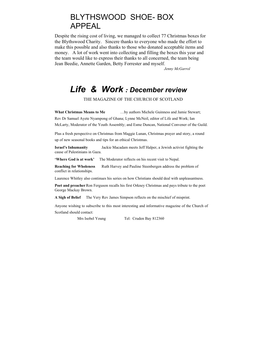### BLYTHSWOOD SHOE- BOX APPEAL

Despite the rising cost of living, we managed to collect 77 Christmas boxes for the Blythswood Charity. Sincere thanks to everyone who made the effort to make this possible and also thanks to those who donated acceptable items and money. A lot of work went into collecting and filling the boxes this year and the team would like to express their thanks to all concerned, the team being Jean Beedie, Annette Garden, Betty Forrester and myself.

 *Jenny McGarrol* 

### *Life & Work : December review*

THE MAGAZINE OF THE CHURCH OF SCOTLAND

**What Christmas Means to Me** …by authors Michele Guinness and Jamie Stewart; Rev Dr Samuel Ayete Nyampong of Ghana; Lynne McNeil, editor of Life and Work; Ian McLarty, Moderator of the Youth Assembly; and Esme Duncan, National Convener of the Guild.

Plus a fresh perspective on Christmas from Maggie Lunan, Christmas prayer and story, a round up of new seasonal books and tips for an ethical Christmas.

**Israel's Inhumanity** Jackie Macadam meets Jeff Halper, a Jewish activist fighting the cause of Palestinians in Gaza.

**'Where God is at work'** The Moderator reflects on his recent visit to Nepal.

**Reaching for Wholeness** Ruth Harvey and Pauline Steenbergen address the problem of conflict in relationships.

Laurence Whitley also continues his series on how Christians should deal with unpleasantness.

**Poet and preacher** Ron Ferguson recalls his first Orkney Christmas and pays tribute to the poet George Mackay Brown.

**A Sigh of Belief** The Very Rev James Simpson reflects on the mischief of misprint.

Anyone wishing to subscribe to this most interesting and informative magazine of the Church of Scotland should contact:

Mrs Isobel Young Tel: Cruden Bay 812360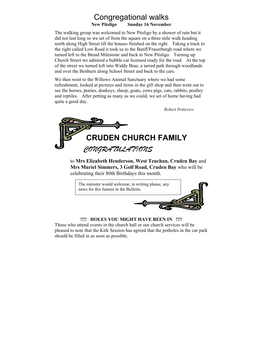## Congregational walks

**New Pitsligo Sunday 16 November** 

The walking group was welcomed to New Pitsligo by a shower of rain but it did not last long so we set of from the square on a three mile walk heading north along High Street till the houses finished on the right. Taking a track to the right called Low Road it took us to the Banff/Fraserburgh road where we turned left to the Broad Milestone and back to New Pitsligo. Turning up Church Street we admired a bubble car licensed ready for the road. At the top of the street we turned left into Widdy Brae, a tarred path through woodlands and over the Benburn along School Street and back to the cars.

We then went to the Willows Animal Sanctuary where we had some refreshment, looked at pictures and items in the gift shop and then went out to see the horses, ponies, donkeys, sheep, goats, cows pigs, cats, rabbits, poultry and reptiles. After petting as many as we could, we set of home having had quite a good day.

*Robert Petticrew*



to **Mrs Elizabeth Henderson, West Teuchan, Cruden Bay** and **Mrs Muriel Simmers, 3 Golf Road, Cruden Bay** who will be celebrating their 80th Birthdays this month.



#### **!!!! HOLES YOU MIGHT HAVE BEEN IN !!!!**

Those who attend events in the church hall or our church services will be pleased to note that the Kirk Session has agreed that the potholes in the car park should be filled in as soon as possible.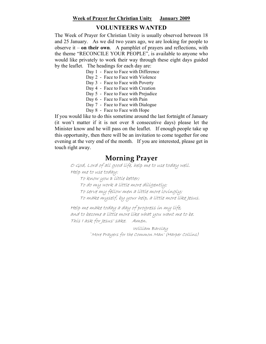#### **Week of Prayer for Christian Unity January 2009**

#### **VOLUNTEERS WANTED**

The Week of Prayer for Christian Unity is usually observed between 18 and 25 January. As we did two years ago, we are looking for people to observe it – **on their own**. A pamphlet of prayers and reflections, with the theme "RECONCILE YOUR PEOPLE", is available to anyone who would like privately to work their way through these eight days guided by the leaflet. The headings for each day are:

- Day 1 Face to Face with Difference
- Day 2 Face to Face with Violence
- Day 3 Face to Face with Poverty
- Day 4 Face to Face with Creation
- Day 5 Face to Face with Prejudice
- Day 6 Face to Face with Pain
- Day 7 Face to Face with Dialogue
- Day 8 Face to Face with Hope

If you would like to do this sometime around the last fortnight of January (it won't matter if it is not over 8 consecutive days) please let the Minister know and he will pass on the leaflet. If enough people take up this opportunity, then there will be an invitation to come together for one evening at the very end of the month. If you are interested, please get in touch right away.

### **Morning Prayer**

O God, Lord of all good life, help me to use today well. Help me to use today:

To know you a little better; To do my work a little more diligently; To serve my fellow men a little more lovingly; To make myself, by your help, a little more like Jesus.

Help me make today a day of progress in my life, and to become a little more like what you want me to be. This I ask for Jesus' sake. Amen.

> William Barclay `More Prayers for the Common Man' (Harper Collins)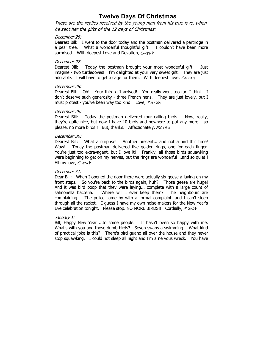#### **Twelve Days Of Christmas**

These are the replies received by the young man from his true love, when he sent her the gifts of the 12 days of Christmas:

#### December 26:

Dearest Bill: I went to the door today and the postman delivered a partridge in a pear tree. What a wonderful thoughtful gift! I couldn't have been more surprised. With deepest Love and Devotion, Sarah

#### December 27:

Dearest Bill: Today the postman brought your most wonderful gift. Just imagine - two turtledoves! I'm delighted at your very sweet gift. They are just adorable. I will have to get a cage for them. With deepest Love, Sarah

#### December 28:

Dearest Bill: Oh! Your third gift arrived! You really went too far, I think. I don't deserve such generosity - three French hens. They are just lovely, but I must protest - you've been way too kind. Love, Sarah

#### December 29:

Dearest Bill: Today the postman delivered four calling birds. Now, really, they're quite nice, but now I have 10 birds and nowhere to put any more... so please, no more birds!! But, thanks. Affectionately, Sarah

#### December 30:

Dearest Bill: What a surprise! Another present... and not a bird this time! Wow! Today the postman delivered five golden rings, one for each finger. You're just too extravagant, but I love it! Frankly, all those birds squawking were beginning to get on my nerves, but the rings are wonderful ...and so quiet!! All my love, Sarah

#### December 31:

Dear Bill: When I opened the door there were actually six geese a-laying on my front steps. So you're back to the birds again, huh? Those geese are huge! And it was bird poop that they were laying... complete with a large count of salmonella bacteria. Where will I ever keep them? The neighbours are complaining. The police came by with a formal complaint, and I can't sleep through all the racket. I guess I have my own noise-makers for the New Year's Eve celebration tonight. Please stop. NO MORE BIRDS!! Cordially, Sarah

#### January 1:

Bill; Happy New Year ...to some people. It hasn't been so happy with me. What's with you and those dumb birds? Seven swans a-swimming. What kind of practical joke is this? There's bird guano all over the house and they never stop squawking. I could not sleep all night and I'm a nervous wreck. You have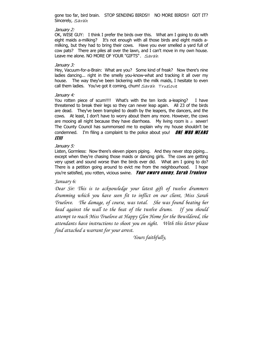gone too far, bird brain. STOP SENDING BIRDS!! NO MORE BIRDS!! GOT IT? Sincerely, Sarah

#### January 2:

OK, WISE GUY: I think I prefer the birds over this. What am I going to do with eight maids a-milking? It's not enough with all those birds and eight maids amilking, but they had to bring their cows. Have you ever smelled a yard full of cow pats? There are piles all over the lawn, and I can't move in my own house. Leave me alone. NO MORE OF YOUR "GIFTS". Sarah

#### January 3:

Hey, Vacuum-for-a-Brain: What are you? Some kind of freak? Now there's nine ladies dancing... right in the smelly you-know-what and tracking it all over my house. The way they've been bickering with the milk maids, I hesitate to even call them ladies. You've got it coming, chum! Sarah Truelove

#### January 4:

You rotten piece of scum!!!! What's with the ten lords a-leaping? I have threatened to break their legs so they can never leap again. All 23 of the birds are dead. They've been trampled to death by the leapers, the dancers, and the cows. At least, I don't have to worry about them any more. However, the cows are mooing all night because they have diarrhoea. My living room is *a* sewer! The County Council has summonsed me to explain why my house shouldn't be condemned. I'm filing a complaint to the police about you! **ONE WHO MEANS** IT!!!

#### January 5:

Listen, Gormless: Now there's eleven pipers piping. And they never stop piping... except when they're chasing those maids or dancing girls. The cows are getting very upset and sound worse than the birds ever did. What am I going to do? There is a petition going around to evict me from the neighbourhood. I hope you're satisfied, you rotten, vicious swine. **Your sworn enemy, Sarah Truelove** 

#### *January 6:*

*Dear Sir: This is to acknowledge your latest gift of twelve drummers drumming which you have seen fit to inflict on our client, Miss Sarah Truelove. The damage, of course, was total. She was found beating her head against the wall to the beat of the twelve drums. If you should attempt to reach Miss Truelove at Happy Glen Home for the Bewildered, the attendants have instructions to shoot you on sight. With this letter please find attached a warrant for your arrest.* 

*Yours faithfully,*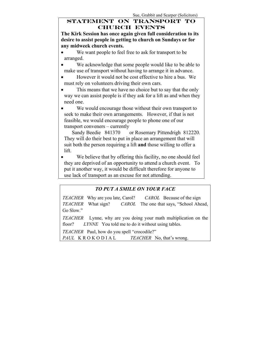#### **STATEMENT ON TRANSPORT TO CHURCH EVENTS**

**The Kirk Session has once again given full consideration to its desire to assist people in getting to church on Sundays or for any midweek church events.** 

- We want people to feel free to ask for transport to be arranged.
- We acknowledge that some people would like to be able to make use of transport without having to arrange it in advance.
- However it would not be cost effective to hire a bus. We must rely on volunteers driving their own cars.
- This means that we have no choice but to say that the only way we can assist people is if they ask for a lift as and when they need one.

• We would encourage those without their own transport to seek to make their own arrangements. However, if that is not feasible, we would encourage people to phone one of our transport conveners – currently

 Sandy Beedie 841370 or Rosemary Pittendrigh 812220. They will do their best to put in place an arrangement that will suit both the person requiring a lift **and** those willing to offer a lift.

We believe that by offering this facility, no one should feel they are deprived of an opportunity to attend a church event. To put it another way, it would be difficult therefore for anyone to use lack of transport as an excuse for not attending.

### *TO PUT A SMILE ON YOUR FACE*

*TEACHER* Why are you late, Carol? *CAROL* Because of the sign *TEACHER* What sign? *CAROL* The one that says, "School Ahead, Go Slow."

*TEACHER* Lynne, why are you doing your math multiplication on the floor? *LYNNE* You told me to do it without using tables.

*TEACHER* Paul, how do you spell "crocodile?"

*PAUL* K R O K O D I A L *TEACHER* No, that's wrong.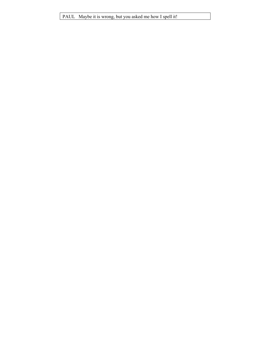PAUL Maybe it is wrong, but you asked me how I spell it!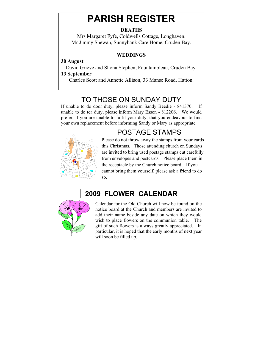## **PARISH REGISTER**

#### **DEATHS**

Mrs Margaret Fyfe, Coldwells Cottage, Longhaven. Mr Jimmy Shewan, Sunnybank Care Home, Cruden Bay.

#### **WEDDINGS**

#### **30 August**

David Grieve and Shona Stephen, Fountainbleau, Cruden Bay.

#### **13 September**

Charles Scott and Annette Allison, 33 Manse Road, Hatton.

### TO THOSE ON SUNDAY DUTY

If unable to do door duty, please inform Sandy Beedie - 841370. If unable to do tea duty, please inform Mary Esson - 812206. We would prefer, if you are unable to fulfil your duty, that you endeavour to find your own replacement before informing Sandy or Mary as appropriate.

### POSTAGE STAMPS



Please do not throw away the stamps from your cards this Christmas. Those attending church on Sundays are invited to bring used postage stamps cut carefully from envelopes and postcards. Please place them in the receptacle by the Church notice board. If you cannot bring them yourself, please ask a friend to do so.

## **2009 FLOWER CALENDAR**



Calendar for the Old Church will now be found on the notice board at the Church and members are invited to add their name beside any date on which they would wish to place flowers on the communion table. The gift of such flowers is always greatly appreciated. In particular, it is hoped that the early months of next year will soon be filled up.